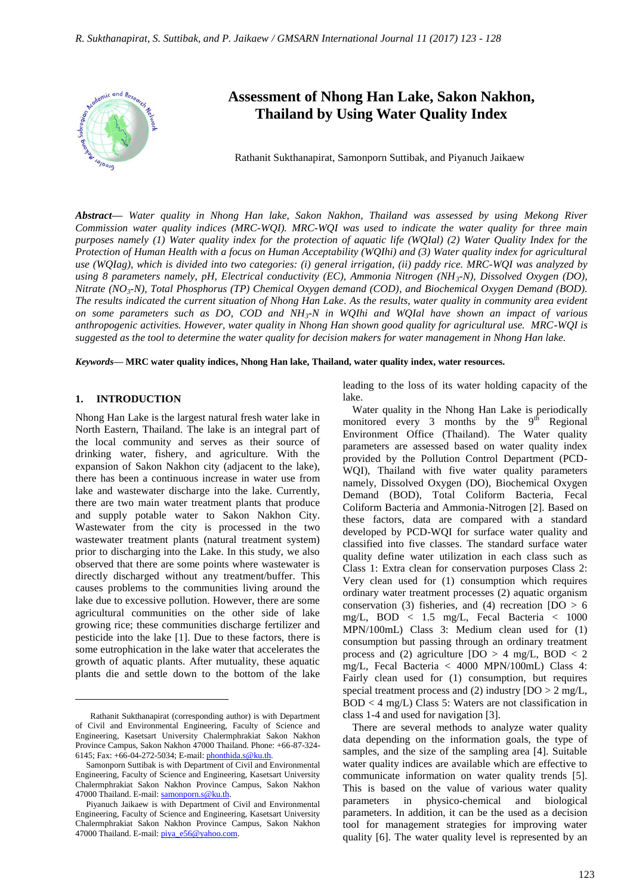

# **Assessment of Nhong Han Lake, Sakon Nakhon, Thailand by Using Water Quality Index**

Rathanit Sukthanapirat, Samonporn Suttibak, and Piyanuch Jaikaew

*Abstract***—** *Water quality in Nhong Han lake, Sakon Nakhon, Thailand was assessed by using Mekong River Commission water quality indices (MRC-WQI). MRC-WQI was used to indicate the water quality for three main purposes namely (1) Water quality index for the protection of aquatic life (WQIal) (2) Water Quality Index for the Protection of Human Health with a focus on Human Acceptability (WQIhi) and (3) Water quality index for agricultural use (WQIag), which is divided into two categories: (i) general irrigation, (ii) paddy rice. MRC-WQI was analyzed by using 8 parameters namely, pH, Electrical conductivity (EC), Ammonia Nitrogen (NH3-N), Dissolved Oxygen (DO), Nitrate (NO3-N), Total Phosphorus (TP) Chemical Oxygen demand (COD), and Biochemical Oxygen Demand (BOD). The results indicated the current situation of Nhong Han Lake. As the results, water quality in community area evident on some parameters such as DO, COD and NH3-N in WQIhi and WQIal have shown an impact of various anthropogenic activities. However, water quality in Nhong Han shown good quality for agricultural use. MRC-WQI is suggested as the tool to determine the water quality for decision makers for water management in Nhong Han lake.*

*Keywords***— MRC water quality indices, Nhong Han lake, Thailand, water quality index, water resources.**

## **1. INTRODUCTION**

 $\overline{a}$ 

Nhong Han Lake is the largest natural fresh water lake in North Eastern, Thailand. The lake is an integral part of the local community and serves as their source of drinking water, fishery, and agriculture. With the expansion of Sakon Nakhon city (adjacent to the lake), there has been a continuous increase in water use from lake and wastewater discharge into the lake. Currently, there are two main water treatment plants that produce and supply potable water to Sakon Nakhon City. Wastewater from the city is processed in the two wastewater treatment plants (natural treatment system) prior to discharging into the Lake. In this study, we also observed that there are some points where wastewater is directly discharged without any treatment/buffer. This causes problems to the communities living around the lake due to excessive pollution. However, there are some agricultural communities on the other side of lake growing rice; these communities discharge fertilizer and pesticide into the lake [1]. Due to these factors, there is some eutrophication in the lake water that accelerates the growth of aquatic plants. After mutuality, these aquatic plants die and settle down to the bottom of the lake

leading to the loss of its water holding capacity of the lake.

Water quality in the Nhong Han Lake is periodically monitored every 3 months by the  $9<sup>th</sup>$  Regional Environment Office (Thailand). The Water quality parameters are assessed based on water quality index provided by the Pollution Control Department (PCD-WQI), Thailand with five water quality parameters namely, Dissolved Oxygen (DO), Biochemical Oxygen Demand (BOD), Total Coliform Bacteria, Fecal Coliform Bacteria and Ammonia-Nitrogen [2]. Based on these factors, data are compared with a standard developed by PCD-WQI for surface water quality and classified into five classes. The standard surface water quality define water utilization in each class such as Class 1: Extra clean for conservation purposes Class 2: Very clean used for (1) consumption which requires ordinary water treatment processes (2) aquatic organism conservation (3) fisheries, and (4) recreation  $[DO > 6$ mg/L, BOD < 1.5 mg/L, Fecal Bacteria < 1000 MPN/100mL) Class 3: Medium clean used for (1) consumption but passing through an ordinary treatment process and (2) agriculture  $[DO > 4 mg/L, BOD < 2$ mg/L, Fecal Bacteria < 4000 MPN/100mL) Class 4: Fairly clean used for (1) consumption, but requires special treatment process and (2) industry  $[DO > 2 mg/L]$ , BOD < 4 mg/L) Class 5: Waters are not classification in class 1-4 and used for navigation [3].

There are several methods to analyze water quality data depending on the information goals, the type of samples, and the size of the sampling area [4]. Suitable water quality indices are available which are effective to communicate information on water quality trends [5]. This is based on the value of various water quality parameters in physico-chemical and biological parameters. In addition, it can be the used as a decision tool for management strategies for improving water quality [6]. The water quality level is represented by an

Rathanit Sukthanapirat (corresponding author) is with Department of Civil and Environmental Engineering, Faculty of Science and Engineering, Kasetsart University Chalermphrakiat Sakon Nakhon Province Campus, Sakon Nakhon 47000 Thailand. Phone: +66-87-324- 6145; Fax: +66-04-272-5034; E-mail[: phonthida.s@ku.th.](mailto:phonthida.s@ku.th) 

Samonporn Suttibak is with Department of Civil and Environmental Engineering, Faculty of Science and Engineering, Kasetsart University Chalermphrakiat Sakon Nakhon Province Campus, Sakon Nakhon 47000 Thailand. E-mail: samonporn.s@ku.th.

Piyanuch Jaikaew is with Department of Civil and Environmental Engineering, Faculty of Science and Engineering, Kasetsart University Chalermphrakiat Sakon Nakhon Province Campus, Sakon Nakhon 47000 Thailand. E-mail: piya\_e56@yahoo.com.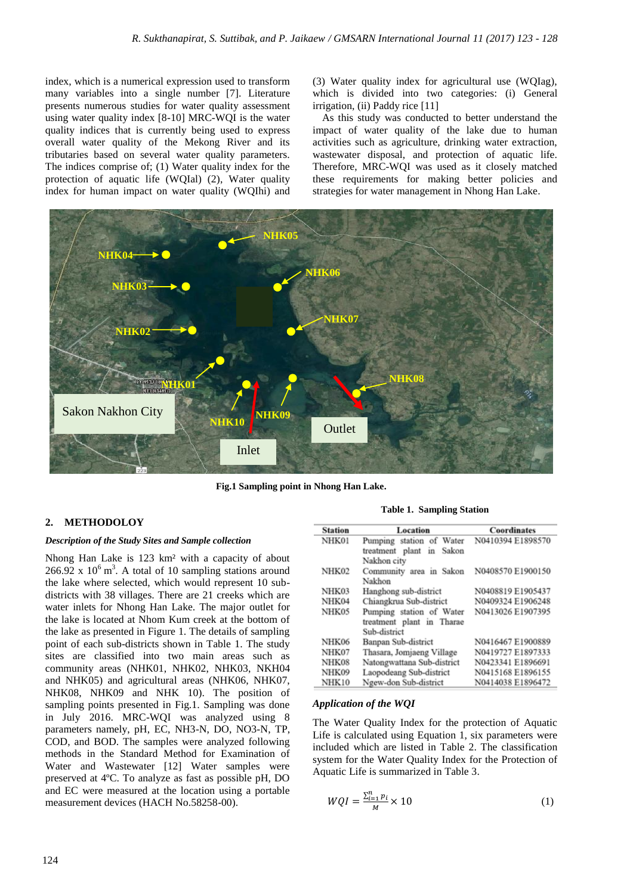index, which is a numerical expression used to transform many variables into a single number [7]. Literature presents numerous studies for water quality assessment using water quality index [8-10] MRC-WQI is the water quality indices that is currently being used to express overall water quality of the Mekong River and its tributaries based on several water quality parameters. The indices comprise of; (1) Water quality index for the protection of aquatic life (WQIal) (2), Water quality index for human impact on water quality (WQIhi) and

(3) Water quality index for agricultural use (WQIag), which is divided into two categories: (i) General irrigation, (ii) Paddy rice [11]

As this study was conducted to better understand the impact of water quality of the lake due to human activities such as agriculture, drinking water extraction, wastewater disposal, and protection of aquatic life. Therefore, MRC-WQI was used as it closely matched these requirements for making better policies and strategies for water management in Nhong Han Lake.



**Fig.1 Sampling point in Nhong Han Lake.**

## **2. METHODOLOY**

#### *Description of the Study Sites and Sample collection*

Nhong Han Lake is 123 km² with a capacity of about  $266.92 \times 10^6 \text{ m}^3$ . A total of 10 sampling stations around the lake where selected, which would represent 10 subdistricts with 38 villages. There are 21 creeks which are water inlets for Nhong Han Lake. The major outlet for the lake is located at Nhom Kum creek at the bottom of the lake as presented in Figure 1. The details of sampling point of each sub-districts shown in Table 1. The study sites are classified into two main areas such as community areas (NHK01, NHK02, NHK03, NKH04 and NHK05) and agricultural areas (NHK06, NHK07, NHK08, NHK09 and NHK 10). The position of sampling points presented in Fig.1. Sampling was done in July 2016. MRC-WQI was analyzed using 8 parameters namely, pH, EC, NH3-N, DO, NO3-N, TP, COD, and BOD. The samples were analyzed following methods in the Standard Method for Examination of Water and Wastewater [12] Water samples were preserved at 4ºC. To analyze as fast as possible pH, DO and EC were measured at the location using a portable measurement devices (HACH No.58258-00).

**Table 1. Sampling Station**

| <b>Station</b> | Location                   | Coordinates       |
|----------------|----------------------------|-------------------|
| NHK01          | Pumping station of Water   | N0410394 E1898570 |
|                | treatment plant in Sakon   |                   |
|                | Nakhon city                |                   |
| NHK02          | Community area in Sakon    | N0408570 E1900150 |
|                | Nakhon                     |                   |
| NHK03          | Hanghong sub-district      | N0408819 E1905437 |
| NHK04          | Chiangkrua Sub-district    | N0409324 E1906248 |
| NHK05          | Pumping station of Water   | N0413026 E1907395 |
|                | treatment plant in Tharae  |                   |
|                | Sub-district               |                   |
| NHK06          | Banpan Sub-district        | N0416467 E1900889 |
| NHK07          | Thasara, Jomjaeng Village  | N0419727 E1897333 |
| NHK08          | Natongwattana Sub-district | N0423341 E1896691 |
| NHK09          | Laopodeang Sub-district    | N0415168 E1896155 |
| NHK10          | Ngew-don Sub-district      | N0414038 E1896472 |

#### *Application of the WQI*

The Water Quality Index for the protection of Aquatic Life is calculated using Equation 1, six parameters were included which are listed in Table 2. The classification system for the Water Quality Index for the Protection of Aquatic Life is summarized in Table 3.

$$
WQI = \frac{\sum_{i=1}^{n} p_i}{M} \times 10\tag{1}
$$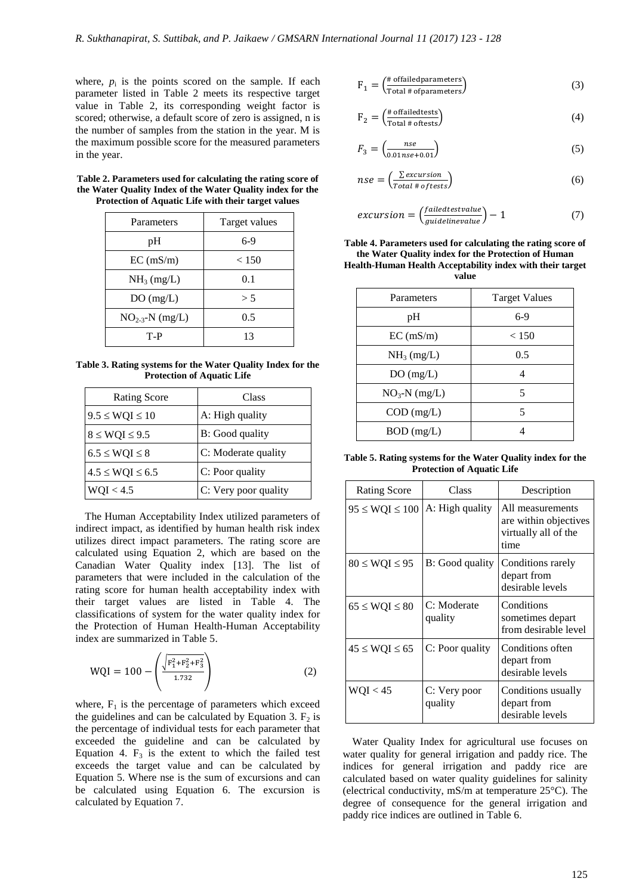where,  $p_i$  is the points scored on the sample. If each parameter listed in Table 2 meets its respective target value in Table 2, its corresponding weight factor is scored; otherwise, a default score of zero is assigned, n is the number of samples from the station in the year. M is the maximum possible score for the measured parameters in the year.

**Table 2. Parameters used for calculating the rating score of the Water Quality Index of the Water Quality index for the Protection of Aquatic Life with their target values**

| Parameters             | Target values |  |  |
|------------------------|---------------|--|--|
| pН                     | $6-9$         |  |  |
| EC (mS/m)              | < 150         |  |  |
| NH <sub>3</sub> (mg/L) | 0.1           |  |  |
| DO(mg/L)               | > 5           |  |  |
| $NO_{2-3}$ -N (mg/L)   | 0.5           |  |  |
| T-P                    | 13            |  |  |

**Table 3. Rating systems for the Water Quality Index for the Protection of Aquatic Life**

| <b>Rating Score</b>   | Class                |  |
|-----------------------|----------------------|--|
| $9.5 \le WQI \le 10$  | A: High quality      |  |
| $8 \le WQI \le 9.5$   | B: Good quality      |  |
| $6.5 \le WQI \le 8$   | C: Moderate quality  |  |
| $4.5 \le WQI \le 6.5$ | C: Poor quality      |  |
| WQI < 4.5             | C: Very poor quality |  |

The Human Acceptability Index utilized parameters of indirect impact, as identified by human health risk index utilizes direct impact parameters. The rating score are calculated using Equation 2, which are based on the Canadian Water Quality index [13]. The list of parameters that were included in the calculation of the rating score for human health acceptability index with their target values are listed in Table 4. The classifications of system for the water quality index for the Protection of Human Health-Human Acceptability index are summarized in Table 5.

$$
WQI = 100 - \left(\frac{\sqrt{F_1^2 + F_2^2 + F_3^2}}{1.732}\right)
$$
 (2)

where,  $F_1$  is the percentage of parameters which exceed the guidelines and can be calculated by Equation 3.  $F_2$  is the percentage of individual tests for each parameter that exceeded the guideline and can be calculated by Equation 4.  $F_3$  is the extent to which the failed test exceeds the target value and can be calculated by Equation 5. Where nse is the sum of excursions and can be calculated using Equation 6. The excursion is calculated by Equation 7.

$$
F_1 = \left(\frac{\text{# of failed parameters}}{\text{Total # of parameters}}\right) \tag{3}
$$

$$
F_2 = \left(\frac{\text{\# of failed tests}}{\text{Total # of tests}}\right) \tag{4}
$$

$$
F_3 = \left(\frac{nse}{0.01nse + 0.01}\right) \tag{5}
$$

$$
nse = \left(\frac{\sum excursion}{Total \# of tests}\right) \tag{6}
$$

$$
excursion = \left(\frac{failedtest value}{guideline value}\right) - 1\tag{7}
$$

**Table 4. Parameters used for calculating the rating score of the Water Quality index for the Protection of Human Health-Human Health Acceptability index with their target value**

| Parameters     | <b>Target Values</b> |  |
|----------------|----------------------|--|
| pH             | $6-9$                |  |
| EC (mS/m)      | < 150                |  |
| $NH_3$ (mg/L)  | 0.5                  |  |
| DO(mg/L)       | 4                    |  |
| $NO3-N$ (mg/L) | 5                    |  |
| $COD$ (mg/L)   | 5                    |  |
| BOD (mg/L)     |                      |  |

**Table 5. Rating systems for the Water Quality index for the Protection of Aquatic Life**

| <b>Rating Score</b>  | Class                   | Description                                                               |
|----------------------|-------------------------|---------------------------------------------------------------------------|
| $95 \le WQI \le 100$ | A: High quality         | All measurements<br>are within objectives<br>virtually all of the<br>time |
| $80 \le WQI \le 95$  | B: Good quality         | Conditions rarely<br>depart from<br>desirable levels                      |
| $65 \le WQI \le 80$  | C: Moderate<br>quality  | Conditions<br>sometimes depart<br>from desirable level                    |
| $45 \le WQI \le 65$  | C: Poor quality         | Conditions often<br>depart from<br>desirable levels                       |
| WQI < 45             | C: Very poor<br>quality | Conditions usually<br>depart from<br>desirable levels                     |

Water Quality Index for agricultural use focuses on water quality for general irrigation and paddy rice. The indices for general irrigation and paddy rice are calculated based on water quality guidelines for salinity (electrical conductivity, mS/m at temperature 25°C). The degree of consequence for the general irrigation and paddy rice indices are outlined in Table 6.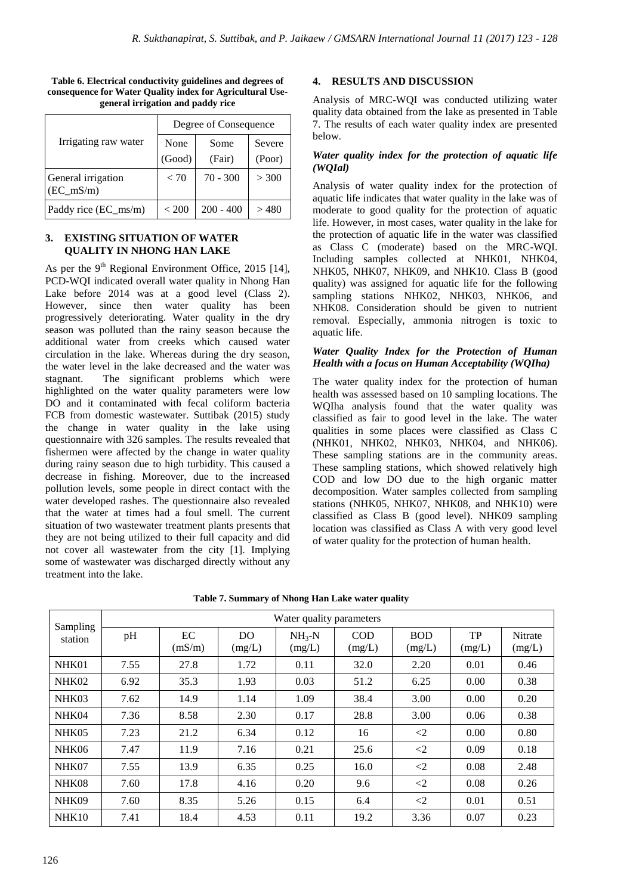|                                    | Degree of Consequence |             |        |  |
|------------------------------------|-----------------------|-------------|--------|--|
| Irrigating raw water               | None                  | Some        | Severe |  |
|                                    | (Good)                | (Fair)      | (Poor) |  |
| General irrigation<br>$(EC_m S/m)$ | < 70                  | $70 - 300$  | > 300  |  |
| Paddy rice (EC_ms/m)               | ${}<$ 200             | $200 - 400$ | >480   |  |

**Table 6. Electrical conductivity guidelines and degrees of consequence for Water Quality index for Agricultural Usegeneral irrigation and paddy rice**

#### **3. EXISTING SITUATION OF WATER QUALITY IN NHONG HAN LAKE**

As per the  $9<sup>th</sup>$  Regional Environment Office, 2015 [14], PCD-WQI indicated overall water quality in Nhong Han Lake before 2014 was at a good level (Class 2). However, since then water quality has been progressively deteriorating. Water quality in the dry season was polluted than the rainy season because the additional water from creeks which caused water circulation in the lake. Whereas during the dry season, the water level in the lake decreased and the water was stagnant. The significant problems which were highlighted on the water quality parameters were low DO and it contaminated with fecal coliform bacteria FCB from domestic wastewater. Suttibak (2015) study the change in water quality in the lake using questionnaire with 326 samples. The results revealed that fishermen were affected by the change in water quality during rainy season due to high turbidity. This caused a decrease in fishing. Moreover, due to the increased pollution levels, some people in direct contact with the water developed rashes. The questionnaire also revealed that the water at times had a foul smell. The current situation of two wastewater treatment plants presents that they are not being utilized to their full capacity and did not cover all wastewater from the city [1]. Implying some of wastewater was discharged directly without any treatment into the lake.

## **4. RESULTS AND DISCUSSION**

Analysis of MRC-WQI was conducted utilizing water quality data obtained from the lake as presented in Table 7. The results of each water quality index are presented below.

## *Water quality index for the protection of aquatic life (WQIal)*

Analysis of water quality index for the protection of aquatic life indicates that water quality in the lake was of moderate to good quality for the protection of aquatic life. However, in most cases, water quality in the lake for the protection of aquatic life in the water was classified as Class C (moderate) based on the MRC-WQI. Including samples collected at NHK01, NHK04, NHK05, NHK07, NHK09, and NHK10. Class B (good quality) was assigned for aquatic life for the following sampling stations NHK02, NHK03, NHK06, and NHK08. Consideration should be given to nutrient removal. Especially, ammonia nitrogen is toxic to aquatic life.

## *Water Quality Index for the Protection of Human Health with a focus on Human Acceptability (WQIha)*

The water quality index for the protection of human health was assessed based on 10 sampling locations. The WQIha analysis found that the water quality was classified as fair to good level in the lake. The water qualities in some places were classified as Class C (NHK01, NHK02, NHK03, NHK04, and NHK06). These sampling stations are in the community areas. These sampling stations, which showed relatively high COD and low DO due to the high organic matter decomposition. Water samples collected from sampling stations (NHK05, NHK07, NHK08, and NHK10) were classified as Class B (good level). NHK09 sampling location was classified as Class A with very good level of water quality for the protection of human health.

| Sampling | Water quality parameters |              |               |                      |                      |                      |                     |                          |
|----------|--------------------------|--------------|---------------|----------------------|----------------------|----------------------|---------------------|--------------------------|
| station  | pH                       | EC<br>(mS/m) | DO.<br>(mg/L) | $NH_{3}-N$<br>(mg/L) | <b>COD</b><br>(mg/L) | <b>BOD</b><br>(mg/L) | <b>TP</b><br>(mg/L) | <b>Nitrate</b><br>(mg/L) |
| NHK01    | 7.55                     | 27.8         | 1.72          | 0.11                 | 32.0                 | 2.20                 | 0.01                | 0.46                     |
| NHK02    | 6.92                     | 35.3         | 1.93          | 0.03                 | 51.2                 | 6.25                 | 0.00                | 0.38                     |
| NHK03    | 7.62                     | 14.9         | 1.14          | 1.09                 | 38.4                 | 3.00                 | 0.00                | 0.20                     |
| NHK04    | 7.36                     | 8.58         | 2.30          | 0.17                 | 28.8                 | 3.00                 | 0.06                | 0.38                     |
| NHK05    | 7.23                     | 21.2         | 6.34          | 0.12                 | 16                   | $\langle 2 \rangle$  | 0.00                | 0.80                     |
| NHK06    | 7.47                     | 11.9         | 7.16          | 0.21                 | 25.6                 | $\langle 2 \rangle$  | 0.09                | 0.18                     |
| NHK07    | 7.55                     | 13.9         | 6.35          | 0.25                 | 16.0                 | $\leq$ 2             | 0.08                | 2.48                     |
| NHK08    | 7.60                     | 17.8         | 4.16          | 0.20                 | 9.6                  | $\langle 2 \rangle$  | 0.08                | 0.26                     |
| NHK09    | 7.60                     | 8.35         | 5.26          | 0.15                 | 6.4                  | $\langle 2 \rangle$  | 0.01                | 0.51                     |
| NHK10    | 7.41                     | 18.4         | 4.53          | 0.11                 | 19.2                 | 3.36                 | 0.07                | 0.23                     |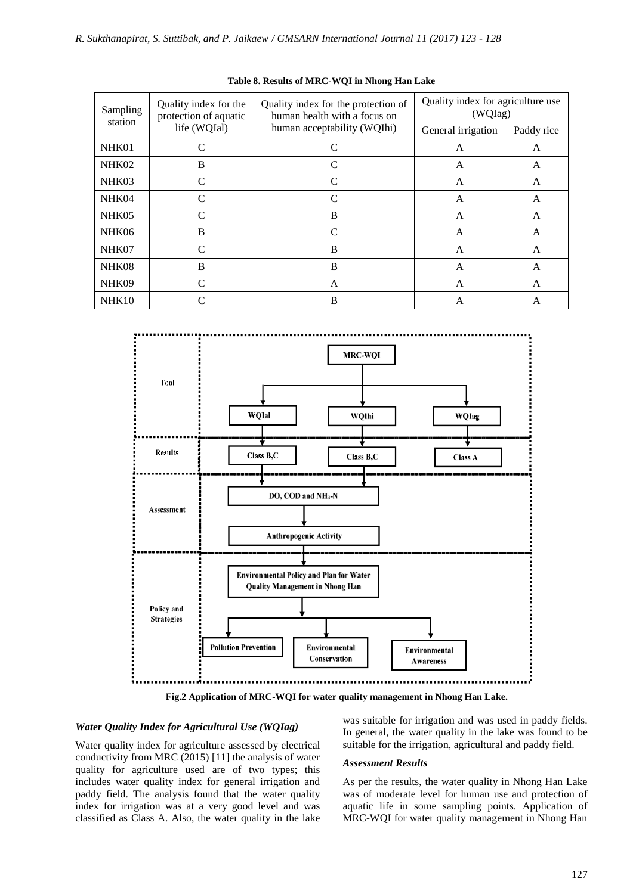| Sampling<br>station | Quality index for the<br>protection of aquatic | Quality index for the protection of<br>human health with a focus on | Quality index for agriculture use<br>(WQIag) |            |  |
|---------------------|------------------------------------------------|---------------------------------------------------------------------|----------------------------------------------|------------|--|
|                     | life (WQIal)<br>human acceptability (WQIhi)    |                                                                     | General irrigation                           | Paddy rice |  |
| NHK01               | C                                              | C                                                                   | A                                            | A          |  |
| NHK02               | B                                              |                                                                     | A                                            | A          |  |
| NHK03               | $\mathsf{\Gamma}$                              | C                                                                   | A                                            | A          |  |
| NHK04               |                                                | C                                                                   | A                                            | A          |  |
| NHK05               | $\mathcal{C}_{\mathcal{C}}$                    | B                                                                   | A                                            | A          |  |
| NHK06               | B                                              | $\mathcal{C}$                                                       | A                                            | A          |  |
| NHK07               | $\mathcal{C}_{\mathcal{C}}$                    | B                                                                   | A                                            | A          |  |
| NHK08               | B                                              | B                                                                   | A                                            | A          |  |
| NHK09               | $\mathcal{C}_{\mathcal{C}}$                    | A                                                                   | A                                            | A          |  |
| NHK10               |                                                | B                                                                   | А                                            | А          |  |

#### **Table 8. Results of MRC-WQI in Nhong Han Lake**



**Fig.2 Application of MRC-WQI for water quality management in Nhong Han Lake.**

#### *Water Quality Index for Agricultural Use (WQIag)*

Water quality index for agriculture assessed by electrical conductivity from MRC (2015) [11] the analysis of water quality for agriculture used are of two types; this includes water quality index for general irrigation and paddy field. The analysis found that the water quality index for irrigation was at a very good level and was classified as Class A. Also, the water quality in the lake

was suitable for irrigation and was used in paddy fields. In general, the water quality in the lake was found to be suitable for the irrigation, agricultural and paddy field.

#### *Assessment Results*

As per the results, the water quality in Nhong Han Lake was of moderate level for human use and protection of aquatic life in some sampling points. Application of MRC-WQI for water quality management in Nhong Han